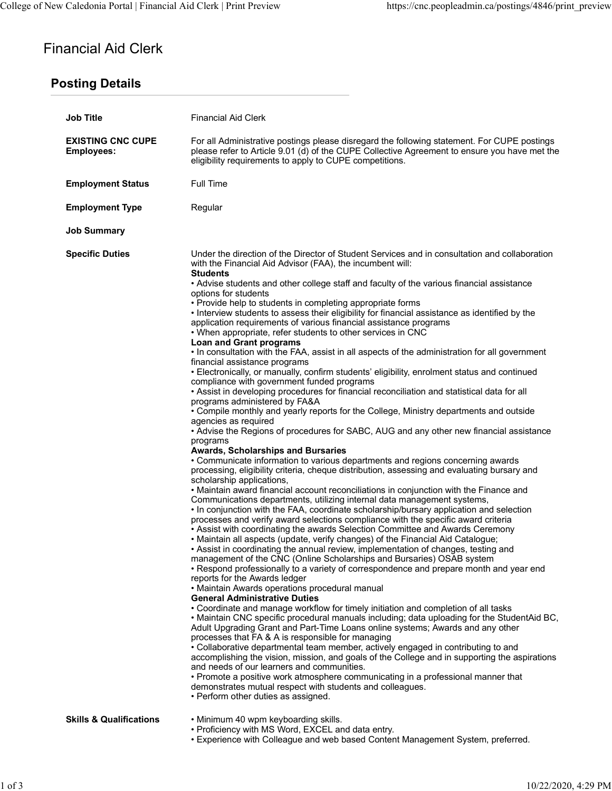# Financial Aid Clerk

## Posting Details

| <b>Job Title</b>                              | <b>Financial Aid Clerk</b>                                                                                                                                                                                                                                                                                                                                                                                                                                                                                                                                                                                                                                                                                                                                                                                                                                                                                                                                                                                                                                                                                                                                                                                                                                                                                                                                                                                                                                                                                                                                                                                                                                                                                                                                                                                                                                                                                                                                                                                                                                                                                                                                                                                                                                                                                                                                                                                                                                                                                                                                                                                                                                                                                                                                                                                                                                                                                                                                                                                                                                                                                                                                           |
|-----------------------------------------------|----------------------------------------------------------------------------------------------------------------------------------------------------------------------------------------------------------------------------------------------------------------------------------------------------------------------------------------------------------------------------------------------------------------------------------------------------------------------------------------------------------------------------------------------------------------------------------------------------------------------------------------------------------------------------------------------------------------------------------------------------------------------------------------------------------------------------------------------------------------------------------------------------------------------------------------------------------------------------------------------------------------------------------------------------------------------------------------------------------------------------------------------------------------------------------------------------------------------------------------------------------------------------------------------------------------------------------------------------------------------------------------------------------------------------------------------------------------------------------------------------------------------------------------------------------------------------------------------------------------------------------------------------------------------------------------------------------------------------------------------------------------------------------------------------------------------------------------------------------------------------------------------------------------------------------------------------------------------------------------------------------------------------------------------------------------------------------------------------------------------------------------------------------------------------------------------------------------------------------------------------------------------------------------------------------------------------------------------------------------------------------------------------------------------------------------------------------------------------------------------------------------------------------------------------------------------------------------------------------------------------------------------------------------------------------------------------------------------------------------------------------------------------------------------------------------------------------------------------------------------------------------------------------------------------------------------------------------------------------------------------------------------------------------------------------------------------------------------------------------------------------------------------------------------|
| <b>EXISTING CNC CUPE</b><br><b>Employees:</b> | For all Administrative postings please disregard the following statement. For CUPE postings<br>please refer to Article 9.01 (d) of the CUPE Collective Agreement to ensure you have met the<br>eligibility requirements to apply to CUPE competitions.                                                                                                                                                                                                                                                                                                                                                                                                                                                                                                                                                                                                                                                                                                                                                                                                                                                                                                                                                                                                                                                                                                                                                                                                                                                                                                                                                                                                                                                                                                                                                                                                                                                                                                                                                                                                                                                                                                                                                                                                                                                                                                                                                                                                                                                                                                                                                                                                                                                                                                                                                                                                                                                                                                                                                                                                                                                                                                               |
| <b>Employment Status</b>                      | Full Time                                                                                                                                                                                                                                                                                                                                                                                                                                                                                                                                                                                                                                                                                                                                                                                                                                                                                                                                                                                                                                                                                                                                                                                                                                                                                                                                                                                                                                                                                                                                                                                                                                                                                                                                                                                                                                                                                                                                                                                                                                                                                                                                                                                                                                                                                                                                                                                                                                                                                                                                                                                                                                                                                                                                                                                                                                                                                                                                                                                                                                                                                                                                                            |
| <b>Employment Type</b>                        | Regular                                                                                                                                                                                                                                                                                                                                                                                                                                                                                                                                                                                                                                                                                                                                                                                                                                                                                                                                                                                                                                                                                                                                                                                                                                                                                                                                                                                                                                                                                                                                                                                                                                                                                                                                                                                                                                                                                                                                                                                                                                                                                                                                                                                                                                                                                                                                                                                                                                                                                                                                                                                                                                                                                                                                                                                                                                                                                                                                                                                                                                                                                                                                                              |
| <b>Job Summary</b>                            |                                                                                                                                                                                                                                                                                                                                                                                                                                                                                                                                                                                                                                                                                                                                                                                                                                                                                                                                                                                                                                                                                                                                                                                                                                                                                                                                                                                                                                                                                                                                                                                                                                                                                                                                                                                                                                                                                                                                                                                                                                                                                                                                                                                                                                                                                                                                                                                                                                                                                                                                                                                                                                                                                                                                                                                                                                                                                                                                                                                                                                                                                                                                                                      |
| <b>Specific Duties</b>                        | Under the direction of the Director of Student Services and in consultation and collaboration<br>with the Financial Aid Advisor (FAA), the incumbent will:<br><b>Students</b><br>• Advise students and other college staff and faculty of the various financial assistance<br>options for students<br>• Provide help to students in completing appropriate forms<br>. Interview students to assess their eligibility for financial assistance as identified by the<br>application requirements of various financial assistance programs<br>. When appropriate, refer students to other services in CNC<br><b>Loan and Grant programs</b><br>. In consultation with the FAA, assist in all aspects of the administration for all government<br>financial assistance programs<br>• Electronically, or manually, confirm students' eligibility, enrolment status and continued<br>compliance with government funded programs<br>. Assist in developing procedures for financial reconciliation and statistical data for all<br>programs administered by FA&A<br>• Compile monthly and yearly reports for the College, Ministry departments and outside<br>agencies as required<br>• Advise the Regions of procedures for SABC, AUG and any other new financial assistance<br>programs<br>Awards, Scholarships and Bursaries<br>• Communicate information to various departments and regions concerning awards<br>processing, eligibility criteria, cheque distribution, assessing and evaluating bursary and<br>scholarship applications,<br>• Maintain award financial account reconciliations in conjunction with the Finance and<br>Communications departments, utilizing internal data management systems,<br>. In conjunction with the FAA, coordinate scholarship/bursary application and selection<br>processes and verify award selections compliance with the specific award criteria<br>• Assist with coordinating the awards Selection Committee and Awards Ceremony<br>• Maintain all aspects (update, verify changes) of the Financial Aid Catalogue;<br>• Assist in coordinating the annual review, implementation of changes, testing and<br>management of the CNC (Online Scholarships and Bursaries) OSAB system<br>• Respond professionally to a variety of correspondence and prepare month and year end<br>reports for the Awards ledger<br>• Maintain Awards operations procedural manual<br><b>General Administrative Duties</b><br>• Coordinate and manage workflow for timely initiation and completion of all tasks<br>. Maintain CNC specific procedural manuals including; data uploading for the StudentAid BC,<br>Adult Upgrading Grant and Part-Time Loans online systems; Awards and any other<br>processes that FA & A is responsible for managing<br>• Collaborative departmental team member, actively engaged in contributing to and<br>accomplishing the vision, mission, and goals of the College and in supporting the aspirations<br>and needs of our learners and communities.<br>• Promote a positive work atmosphere communicating in a professional manner that<br>demonstrates mutual respect with students and colleagues. |
| <b>Skills &amp; Qualifications</b>            | • Perform other duties as assigned.<br>• Minimum 40 wpm keyboarding skills.<br>• Proficiency with MS Word, EXCEL and data entry.<br>• Experience with Colleague and web based Content Management System, preferred.                                                                                                                                                                                                                                                                                                                                                                                                                                                                                                                                                                                                                                                                                                                                                                                                                                                                                                                                                                                                                                                                                                                                                                                                                                                                                                                                                                                                                                                                                                                                                                                                                                                                                                                                                                                                                                                                                                                                                                                                                                                                                                                                                                                                                                                                                                                                                                                                                                                                                                                                                                                                                                                                                                                                                                                                                                                                                                                                                  |
|                                               |                                                                                                                                                                                                                                                                                                                                                                                                                                                                                                                                                                                                                                                                                                                                                                                                                                                                                                                                                                                                                                                                                                                                                                                                                                                                                                                                                                                                                                                                                                                                                                                                                                                                                                                                                                                                                                                                                                                                                                                                                                                                                                                                                                                                                                                                                                                                                                                                                                                                                                                                                                                                                                                                                                                                                                                                                                                                                                                                                                                                                                                                                                                                                                      |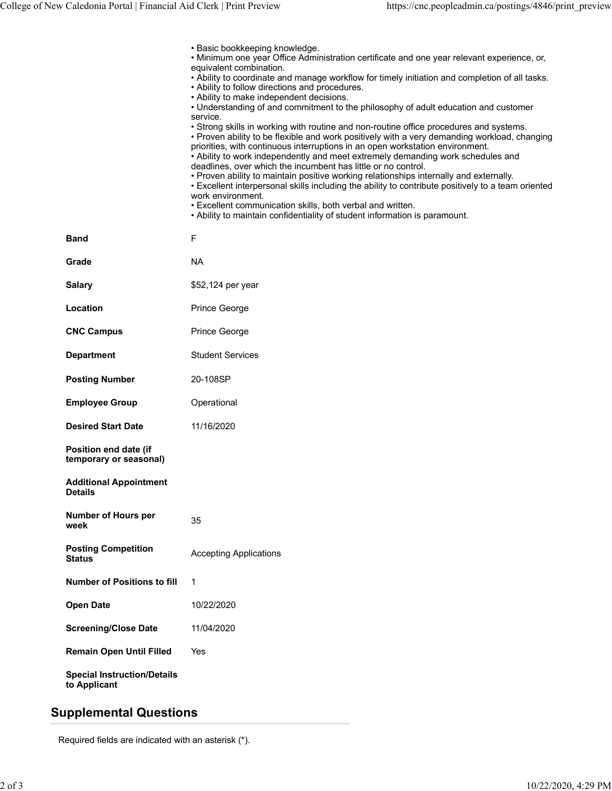| College of New Caledonia Portal   Financial Aid Clerk   Print Preview | https://cnc.peopleadmin.ca/postings/4846/print_preview                                                                                                                                                                            |
|-----------------------------------------------------------------------|-----------------------------------------------------------------------------------------------------------------------------------------------------------------------------------------------------------------------------------|
|                                                                       |                                                                                                                                                                                                                                   |
|                                                                       | • Basic bookkeeping knowledge.<br>. Minimum one year Office Administration certificate and one year relevant experience, or,                                                                                                      |
|                                                                       | equivalent combination.<br>. Ability to coordinate and manage workflow for timely initiation and completion of all tasks.<br>• Ability to follow directions and procedures.                                                       |
|                                                                       | • Ability to make independent decisions.<br>• Understanding of and commitment to the philosophy of adult education and customer<br>service.                                                                                       |
|                                                                       | • Strong skills in working with routine and non-routine office procedures and systems.<br>• Proven ability to be flexible and work positively with a very demanding workload, changing                                            |
|                                                                       | priorities, with continuous interruptions in an open workstation environment.<br>• Ability to work independently and meet extremely demanding work schedules and<br>deadlines, over which the incumbent has little or no control. |
|                                                                       | . Proven ability to maintain positive working relationships internally and externally.<br>• Excellent interpersonal skills including the ability to contribute positively to a team oriented                                      |
|                                                                       | work environment.<br>• Excellent communication skills, both verbal and written.<br>. Ability to maintain confidentiality of student information is paramount.                                                                     |
| <b>Band</b>                                                           | $\mathsf F$                                                                                                                                                                                                                       |
| Grade                                                                 | <b>NA</b>                                                                                                                                                                                                                         |
| <b>Salary</b>                                                         | \$52,124 per year                                                                                                                                                                                                                 |
| Location                                                              | Prince George                                                                                                                                                                                                                     |
| <b>CNC Campus</b>                                                     | Prince George                                                                                                                                                                                                                     |
| <b>Department</b>                                                     | <b>Student Services</b>                                                                                                                                                                                                           |
| <b>Posting Number</b>                                                 | 20-108SP                                                                                                                                                                                                                          |
| <b>Employee Group</b>                                                 | Operational                                                                                                                                                                                                                       |
| <b>Desired Start Date</b>                                             | 11/16/2020                                                                                                                                                                                                                        |
| Position end date (if<br>temporary or seasonal)                       |                                                                                                                                                                                                                                   |
| <b>Additional Appointment</b><br><b>Details</b>                       |                                                                                                                                                                                                                                   |
|                                                                       |                                                                                                                                                                                                                                   |
| <b>Number of Hours per</b><br>week                                    | 35                                                                                                                                                                                                                                |
| <b>Posting Competition</b><br><b>Status</b>                           | <b>Accepting Applications</b>                                                                                                                                                                                                     |
| <b>Number of Positions to fill</b>                                    | $\mathbf 1$                                                                                                                                                                                                                       |
| <b>Open Date</b>                                                      | 10/22/2020                                                                                                                                                                                                                        |
| <b>Screening/Close Date</b>                                           | 11/04/2020                                                                                                                                                                                                                        |
| <b>Remain Open Until Filled</b>                                       | Yes                                                                                                                                                                                                                               |

### Supplemental Questions

Required fields are indicated with an asterisk (\*).